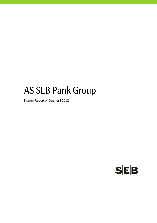# AS SEB Pank Group

Interim Report of Quarter I 2012

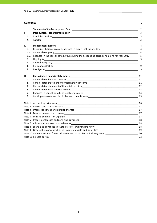#### **Contents** P.

|                |                                                                                                                                                                                                                                | 2              |
|----------------|--------------------------------------------------------------------------------------------------------------------------------------------------------------------------------------------------------------------------------|----------------|
| I.             |                                                                                                                                                                                                                                | 3              |
| $\mathbf{1}$ . |                                                                                                                                                                                                                                | 3              |
| 2.             |                                                                                                                                                                                                                                | 3              |
| II.            | Management Report and the contract of the contract of the contract of the contract of the contract of the contract of the contract of the contract of the contract of the contract of the contract of the contract of the cont | $\overline{4}$ |
| 1.             |                                                                                                                                                                                                                                | 4              |
| 1.1.           |                                                                                                                                                                                                                                | 4              |
| 1.2.           | Changes in the consolidated group during the accounting period and plans for year 2012                                                                                                                                         | 5              |
| 2.             | Highlights_<br><u> 1989 - 1989 - 1989 - 1989 - 1989 - 1989 - 1989 - 1989 - 1989 - 1989 - 1989 - 1989 - 1989 - 1989 - 1989 - 19</u>                                                                                             | 5              |
| 3.             |                                                                                                                                                                                                                                | $\overline{7}$ |
| 4.             |                                                                                                                                                                                                                                | 9              |
| 5.             |                                                                                                                                                                                                                                | 9              |
| Ш.             |                                                                                                                                                                                                                                | 11             |
| 1.             | Consolidated income statement                                                                                                                                                                                                  |                |
| 2.             | Consolidated statement of comprehensive income<br>11                                                                                                                                                                           |                |
| 3.             |                                                                                                                                                                                                                                |                |
| 4.             |                                                                                                                                                                                                                                | 13             |
| 5.             |                                                                                                                                                                                                                                |                |
| 6.             |                                                                                                                                                                                                                                |                |
|                |                                                                                                                                                                                                                                | 16             |
|                |                                                                                                                                                                                                                                |                |
|                |                                                                                                                                                                                                                                |                |
|                |                                                                                                                                                                                                                                |                |
|                |                                                                                                                                                                                                                                |                |
|                |                                                                                                                                                                                                                                | 18             |
|                |                                                                                                                                                                                                                                | 18             |
|                |                                                                                                                                                                                                                                |                |
|                | Note 9 Geographic concentration of financial assets and liabilities<br>19                                                                                                                                                      |                |
|                | Note 10 Concentration of financial assets and liabilities by industry sector_________________________________20                                                                                                                |                |
|                |                                                                                                                                                                                                                                | 22             |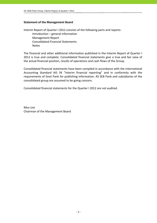# **Statement of the Management Board**

Interim Report of Quarter I 2012 consists of the following parts and reports: Introduction – general information Management Report Consolidated Financial Statements Notes

The financial and other additional information published in the Interim Report of Quarter I 2012 is true and complete. Consolidated financial statements give a true and fair view of the actual financial position, results of operations and cash flows of the Group.

Consolidated financial statements have been compiled in accordance with the International Accounting Standard IAS 34 "Interim financial reporting" and in conformity with the requirements of Eesti Pank for publishing information. AS SEB Pank and subsidiaries of the consolidated group are assumed to be going concern.

Consolidated financial statements for the Quarter I 2012 are not audited.

Riho Unt Chairman of the Management Board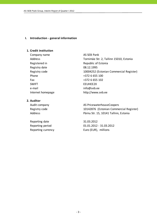## **I. Introduction ‐ general information**

# **1. Credit institution**

Company name AS SEB Pank Registered in Republic of Estonia Registry date 08.12.1995 Phone  $+3726655100$ Fax  $+3726655102$ SWIFT SWIFT ENGINEERS FEUHEF2X e-mail info@seb.ee Internet homepage http://www.seb.ee

# **2. Auditor**

Reporting date 31.03.2012

Address Tornimäe Str. 2, Tallinn 15010, Estonia Registry code 10004252 (Estonian Commercial Register)

Audit company and all the AS PricewaterhouseCoopers Registry code 10142876 (Estonian Commercial Register) Address Pärnu Str. 15, 10141 Tallinn, Estonia

Reporting period 01.01.2012 - 31.03.2012 Reporting currency Euro (EUR), millions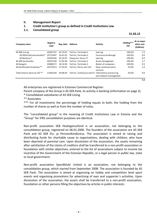# **II. Management Report**

# **1. Credit institution's group as defined in Credit Institutions Law**

# **1.1. Consolidated group**

 $\bf{31.03.12}$ 

| Company name                            | Registry<br>code | Reg. date | <b>Address</b>            | <b>Activity</b>                                  | Holding***<br>(%) | At an acqui-<br>sition cost<br>(EURmio) |
|-----------------------------------------|------------------|-----------|---------------------------|--------------------------------------------------|-------------------|-----------------------------------------|
| AS SEB Liising                          | 10281767         | 03.10.97  | Tallinn, Tornimäe 2       | Leasing                                          | 100.0%            | 1.5                                     |
| AS SEB Kindlustus maakler*              | 10723587         | 16.01.01  | Tallinn, Tornimäe 2       | Insurance brokerage                              | 100.0%            | 0.0                                     |
| AS Rentacar*                            | 10303546         | 20.10.97  | Haapsalu, Karja 27        | Leasing                                          | 100.0%            | 0.0                                     |
| AS SEB Varahaldus                       | 10035169         | 22.05.96  | Tallinn, Tornimäe 2       | Asset management                                 | 100.0%            | 2.7                                     |
| AS Bangalo                              | 10088272         | 18.10.96  | Tallinn, Tornimäe 2       | Rental of computers                              | 100.0%            | 0.3                                     |
| AS Sertifitseerimiskeskus**             | 10747013         | 27.03.01  | Tallinn. Pärnu mnt 141    | Data communication<br>services                   | 25.0%             | 1.0                                     |
| Tieto Estonia Services OÜ <sup>**</sup> | 11065244         | 30.08.04  | Tallinn, Tammsaare tee 47 | Information processing<br>and network management | 20.0%             | 0.0                                     |
|                                         |                  |           |                           |                                                  |                   | 5.5                                     |

All enterprises are registered in Estonian Commercial Register.

Parent company of the Group is AS SEB Pank, its activity is banking (information on page 3).

\* Consolidated subsidiaries of AS SEB Liising

\*\* Associates

\*\*\* For all investments the percentage of holding equals to both, the holding from the number of shares as well as from the number of votes.

The "consolidated group" in the meaning of Credit Institutions Law in Estonia and the "Group" for IFRS consolidation purposes are identical.

Non‐profit association SEB Heategevusfond is an association, not belonging to the consolidation group, registered on 06.01.2006. The founders of the association are AS SEB Pank and AS SEB Elu- ja Pensionikindlustus. The association is aimed at raising and distributing funds for charitable cause to organisations, dealing with children, who have been deprived of parental care. Upon dissolution of the association, the assets remaining after satisfaction of the claims of creditors shall be transferred to a non‐profit association or foundation with similar objectives, entered to the list of associations subject to income tax incentive of the Government of the Estonian Republic, or a legal person in public law, state or local government.

Non‐profit association Spordiklubi United is an association, not belonging to the consolidation group, which started from September 2008. The association is founded by AS SEB Pank. The association is aimed at organising on hobby and competition level sport events and organising promotions for advertising of own and supporter´s activities. Upon dissolution of the association, the assets shall be transferred to a non‐profit association, foundation or other persons filling the objectives by articles in public interests.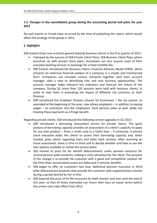# **1.2. Changes in the consolidated group during the accounting period and plans for year 2012**

No such events or trends have occurred by the time of publishing the report, which would affect the strategy of the group in 2012.

# **2. Highlights**

SEB started three new activities geared towards business clients in the first quarter of 2012:

- Followed by the success of SEB Private Client Plans, SEB Business Client Plans where launched. As with private client plans, businesses can also acquire most of their everyday banking services in exchange for a fixed monthly fee.
- SEB Estonia introduced the Business Clients Financial Advisory Model (FAM), which presents an extensive financial analysis of a company in a simple and summarised form. Companies can simulate various scenarios together with their account manager, with a view to identifying risks and new business opportunities. The account manager helps interpret key indicators and forecast the future of the company. During Q1 more than 120 sessions were held with business clients, in order to help them in evaluating the impact of different risk scenarios on their finances.
- SEB introduced the Employer Pension scheme for businesses the tax system, as amended at the beginning of the year, now allows employers – in addition to paying wages – to contribute into the employees' third pension pillar as well, while not treating these payments as a fringe benefit.

Regarding private clients, SEB introduced the following service upgrades in Q1 2012:

- SEB introduced a borrowing assessment service for private clients. The quick analysis of borrowing capacity provides an assessment of a client's capacity to apply for any loan product – from a credit card to a home loan – if necessary. A private client executive helps the clients to assess their borrowing capacity and, when needed, gives advice regarding loans and other bank services. After receiving an initial assessment, there is time to think and to decide whether and how to use the loan options available to realise the various plans.
- SEB revised its price list for benefit disbursements under pension contracts for second pension pillar products, making it more attractive for the client. The purpose of the change is to provide the customer with a good and competitive solution for the time when accumulated assets are disbursed in pension benefits.
- SEB began to offer its customers two new, additional pension insurance or third pillar disbursement products that provide the customer with supplementary income during a period desired by her or him.
- SEB lowered the price of its life insurance for both women and men until the end of this year, so that all those interested can insure their lives on easier terms before the unisex rates take effect from 2013.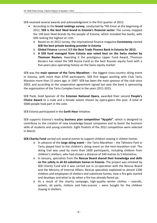SEB received several awards and acknowledgment in the first quarter of 2012:

- According to the **brand rankings survey**, conducted by TNS Emor at the beginning of 2012, **SEB is the best liked brand in Estonia's financial sector**. The survey mapped the 149 best liked brands by the people of Estonia, which included five banks, with SEB ranking the highest at 11th.
	- o Based on its 2012 survey, the international finance magazine **Euromoney** named **SEB the best private banking provider in Estonia**
	- o **Global Finance** named SEB **the Best Trade Finance Bank in Estonia for 2012.**
	- o **A SEB fund managed from Estonia was voted best on the Swiss market by Thomson Reuters.** Awarding it the prestigious Lipper Fund Award, Thomson Reuters has voted the SEB Russia Fund as the best Russian equity fund with a five‐years‐plus operating history on the Swiss equity market.

SEB was the **main sponsor of the Tartu Marathon** – the biggest cross‐country skiing event in Estonia, with more than 6750 participants. SEB first began working with Club Tartu Maraton more than 15 years ago, in 1997. SEB has been the main sponsor of the club since 2003, and according to the cooperation agreement signed last year the bank is sponsoring the organisation of the Tartu Complex Event in the years 2011‐2015.

SEB Pank, Gold Sponsor of the **Estonian National Opera**, awarded their second **People's Choice Award** to a male and a female soloist chosen by opera‐goers this year. A total of 5000 people took part in the vote.

SEB Estonia participated in the **Earth Hour** initiative.

SEB supports Estonia's leading **business plan competition "Ajujaht"**, which is designed to contribute to the creation of new knowledge‐based companies and to boost the business skills of students and young scientists. Eight finalists of the 2012 competition were selected in March.

**SEB Charity Fund** carried out several events to support children staying in shleter homes

- o In advance of the **large skiing event** the Tartu Marathon the Tähtvere Park in Tartu played host to the children's skiing event on the mini‐marathon trail. The skiing trail was used by more than 1600 participants, including children from children's shelters, who had chosen a distance of 540 metres to 5 kilometres.
- o In January, specialists from the **Rescue Board shared their knowledge and skills on fire safety in all 43 substitute homes in Estonia**. The project was initiated by SEB Charity Fund and it was carried out in co‐operation with the Rescue Board and the Ministry of Internal Affairs. Rescue specialists explained to almost 1200 children and employees of shelters and substitute homes, how a fire gets started and develops and what to do when a fire has already flared up.
- $\circ$  As a result of the charity campaign, high-quality winter clothes overalls, jackets, ski pants, mittens and hats‐scarves – were bought for the children staying in shelters.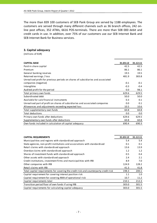The more than 839 100 customers of SEB Pank Group are served by 1188 employees. The customers are served through many different channels such as 36 branch offices, 242 on‐ line post offices, 352 ATMs, 6616 POS‐terminals. There are more than 508 000 debit and credit cards in use. In addition, over 75% of our customers use our SEB Internet Bank and SEB Internet Bank for Business services.

# **3. Capital adequacy**

(millions of EUR)

| <b>CAPITAL BASE</b>                                                             | 31.03.12 | 31.12.11 |
|---------------------------------------------------------------------------------|----------|----------|
| Paid-in share capital                                                           | 42.5     | 42.5     |
| Premium                                                                         | 86.1     | 86.1     |
| General banking reserves                                                        | 19.5     | 19.5     |
| Retained earnings / loss                                                        | 481.9    | 383.8    |
| Unrealised profit for previous periods on shares of subsidiaries and associated |          |          |
| companies (negative)                                                            | $-0.1$   | $-0.1$   |
| Intangibles                                                                     | $-0.3$   | $-0.4$   |
| Audited profit for the period                                                   | 0.0      | 98.1     |
| Total primary own funds                                                         | 629.6    | 629.5    |
| Subordinated debt                                                               | 50.0     | 50.0     |
| Available for sale financial instruments                                        | 0.3      | 0.1      |
| Unrealised part of profit on shares of subsidiaries and associated companies    | 0.0      | 0.1      |
| Allowances and adjustments exceeding expected loss                              | 10.5     | 10.6     |
| Total supplementary own funds                                                   | 60.8     | 60.8     |
| <b>Total deductions</b>                                                         | 0.0      | 0.0      |
| Primary own funds after deductions                                              | 629.6    | 629.5    |
| Supplementary own funds after deductions                                        | 60.8     | 60.8     |
| Own funds included in calculation of capital adequacy                           | 690.4    | 690.3    |

| <b>CAPITAL REQUIREMENTS</b>                                                          | 31.03.12 | 31.12.11 |
|--------------------------------------------------------------------------------------|----------|----------|
| Municipalities and regions with standardised approach                                | 5.4      | 5.4      |
| State agencies, non-profit institutions and associations with standardised           | 0.1      | 0.1      |
| Retail claims with standardised approach                                             | 13.6     | 13.9     |
| Overdue claims with standardised approach                                            | 1.2      | 1.2      |
| Shares of investment funds with standardised approach                                | 0.5      | 0.4      |
| Other assets with standardised approach                                              | 2.4      | 2.1      |
| Credit institutions, investment firms and municipalities with IRB                    | 8.9      | 7.0      |
| Other companies with IRB                                                             | 124.9    | 128.2    |
| Retail claims with IRB                                                               | 41.3     | 41.8     |
| Total capital requirements for covering the credit risk and counterparty credit risk | 198.3    | 200.1    |
| Capital requirement for covering interest position risk                              | 1.1      | 1.0      |
| Capital requirement for covering AMA of operational risk                             | 10.7     | 11.2     |
| Capital requirements total                                                           | 210.1    | 212.3    |
| Transition period floor of own funds if using IRB                                    | 303.0    | 301.5    |
| Capital requirements for calculating capital adequacy                                | 303.0    | 301.5    |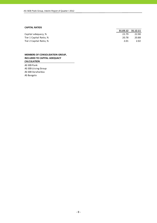#### **CAPITAL RATIOS**

|                         |       | 31.03.12 31.12.11 |
|-------------------------|-------|-------------------|
| Capital adequacy, %     | 22.79 | 22.90             |
| Tier 1 Capital Ratio, % | 20.78 | 20.88             |
| Tier 2 Capital Ratio, % | 2.01  | 2.02              |

### **MEMBERS OF CONSOLIDATION GROUP, INCLUDED TO CAPITAL ADEQUACY CALCULATION**

AS SEB Pank AS SEB Liising Group AS SEB Varahaldus AS Bangalo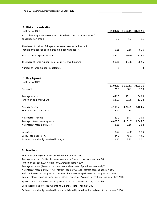# **4. Risk concentration**

| (millions of EUR)                                                                            | 31.03.12 | 31.12.11 | 31.03.11 |
|----------------------------------------------------------------------------------------------|----------|----------|----------|
| Total claims against persons associated with the credit institution's<br>consolidation group | 1.2      | 1.3      | 1.1      |
| The share of claims of the persons associated with the credit                                |          |          |          |
| institution's consolidation group in net own funds, %,                                       | 0.18     | 0.18     | 0.16     |
| Total of large exposure claims                                                               | 351.2    | 269.0    | 175.0    |
| The share of large exposure claims in net own funds, %                                       | 50.86    | 38.98    | 26.55    |
| Number of large exposure customers                                                           | 5        | 4        | 3        |

## **5. Key figures**

| (millions of EUR)                       |          |          |          |
|-----------------------------------------|----------|----------|----------|
|                                         | 31.03.12 | 31.12.11 | 31.03.11 |
| Net profit                              | 21.8     | 98.1     | 17.9     |
| Average equity                          | 641.5    | 581.1    | 540.8    |
| Return on equity (ROE), %               | 13.59    | 16.88    | 13.24    |
| Average assets                          | 4,131.7  | 4,214.9  | 4,183.5  |
| Return on assets (ROA), %               | 2.11     | 2.33     | 1.71     |
| Net interest income                     | 21.9     | 88.7     | 20.6     |
| Average interest earning assets         | 4,027.5  | 4,101.7  | 4,045.7  |
| Net interest margin (NIM), %            | 2.18     | 2.16     | 2.04     |
| Spread, %                               | 2.00     | 2.00     | 1.90     |
| Cost / Income ratio, %                  | 44.3     | 45.1     | 49.1     |
| Ratio of individually impaired loans, % | 1.97     | 2.25     | 3.51     |

#### **Explanations**

Return on equity (ROE) = Net profit/Average equity \* 100 Average equity = (Equity of current year end + Equity of previous year end)/2 Return on assets (ROA) = Net profit/Average assets \* 100 Average assets = (Assets of current year end + Assets of previous year end)/2 Cost of interest bearing liabilities = Interest expenses/Average interest bearing liabilities \*100 Cost/Income Ratio = Total Operating Expenses/Total Income \* 100 Spread = Yield on interest earning assets ‐ Cost of interest bearing liabilities Ratio of individually impaired loans = Individually impaired loans/Loans to customers \* 100 Net interest margin (NIM) = Net interest income/Average interest earning assets \* 100 Yield on interest earning assets = Interest income/Average interest earning assets \*100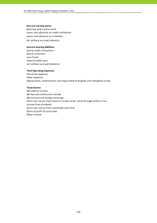#### **Interest earning assets:**

Balances with central bank Loans and advances to credit institutions (all without accrued interests) Loans and advances to customers

#### **Interest bearing liabilities:**

Due to credit institutions Due to customers Loan funds Subordinated loans (all without accrued interests)

#### **Total Operating Expenses:**

Personnel expenses Other expenses Depreciation, amortisation and impairment of tangible and intangible assets

#### **Total Income:**

Net interest income Net fee and commission income Net income from foreign exchange Gains less losses from financial assets at fair value through profit or loss Income from dividends Gains less losses from investment securities Share of profit of associates Other income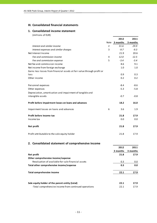# **III. Consolidated financial statements**

# **1. Consolidated income statement**

(millions of EUR)

|                                                                         |   | 2012          | 2011     |
|-------------------------------------------------------------------------|---|---------------|----------|
|                                                                         |   | Note 3 months | 3 months |
| Interest and similar income                                             | 2 | 31.6          | 29.9     |
| Interest expenses and similar charges                                   | 3 | $-9.7$        | $-9.3$   |
| Net Interest Income                                                     |   | 21.9          | 20.6     |
| Fee and commission income                                               | 4 | 12.0          | 12.5     |
| Fee and commission expense                                              | 5 | $-3.4$        | $-3.4$   |
| Net fee and commission income                                           |   | 8.6           | 9.1      |
| Net income from foreign exchange                                        |   | 1.0           | 1.0      |
| Gains less losses from financial assets at fair value through profit or |   |               |          |
| loss                                                                    |   | 0.9           | 0.3      |
| Other income                                                            |   | 0.2           | 0.2      |
| Personnel expenses                                                      |   | $-8.4$        | $-8.6$   |
| Other expenses                                                          |   | $-5.3$        | $-5.8$   |
| Depreciation, amortisation and impairment of tangible and               |   |               |          |
| intangible assets                                                       |   | $-0.7$        | $-0.8$   |
| Profit before impairment losses on loans and advances                   |   | 18.2          | 16.0     |
| Impairment losses on loans and advances                                 | 6 | 3.6           | 1.9      |
| Profit before income tax                                                |   | 21.8          | 17.9     |
| Income tax                                                              |   | 0.0           | 0.0      |
| Net profit                                                              |   | 21.8          | 17.9     |
| Profit attributable to the sole equity holder                           |   | 21.8          | 17.9     |

# **2. Consolidated statement of comprehensive income**

|                                                       | 2012     | 2011     |
|-------------------------------------------------------|----------|----------|
|                                                       | 3 months | 3 months |
| Net profit                                            | 21.8     | 17.9     |
| Other comprehensive income/expense                    |          |          |
| Revaluation of available-for-sale financial assets    | 0.3      | 0.0      |
| Total other comprehensive income/expense              | 0.3      | 0.0      |
| Total comprehensive income                            | 22.1     | 17.9     |
| Sole equity holder of the parent entity (total)       | 22.1     | 17.9     |
| -Total comprehensive income from continued operations | 22.1     | 17.9     |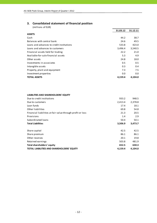# **3. Consolidated statement of financial position**

| (millions of EUR)                         |          |          |
|-------------------------------------------|----------|----------|
|                                           | 31.03.12 | 31.12.11 |
| <b>ASSETS</b>                             |          |          |
| Cash                                      | 44.2     | 38.7     |
| Balances with central bank                | 24.6     | 49.5     |
| Loans and advances to credit institutions | 533.8    | 423.0    |
| Loans and advances to customers           | 3,496.4  | 3,540.5  |
| Financial assets held for trading         | 22.2     | 21.0     |
| Available-for-sale financial assets       | 5.3      | 4.9      |
| Other assets                              | 24.8     | 18.0     |
| Investments in associates                 | 0.5      | 0.5      |
| Intangible assets                         | 0.3      | 0.4      |
| Property, plant and equipment             | 7.3      | 7.5      |
| Investment properties                     | 0.0      | 0.0      |
| <b>TOTAL ASSETS</b>                       | 4,159.4  | 4,104.0  |

## **LIABILITIES AND SHAREHOLDERS' EQUITY**

| Due to credit institutions                                 | 933.2   | 948.5   |
|------------------------------------------------------------|---------|---------|
| Due to customers                                           | 2,413.4 | 2,378.8 |
| Loan funds                                                 | 17.4    | 18.1    |
| Other liabilities                                          | 69.8    | 54.8    |
| Financial liabilities at fair value through profit or loss | 21.3    | 20.5    |
| Provisions                                                 | 1.4     | 2.9     |
| Subordinated loans                                         | 50.4    | 50.1    |
| <b>Total Liabilities</b>                                   | 3,506.9 | 3,473.7 |
| Share capital                                              | 42.5    | 42.5    |
| Share premium                                              | 86.1    | 86.1    |
| Other reserves                                             | 20.1    | 19.8    |
| Retained earnings                                          | 503.8   | 481.9   |
| <b>Total shareholders' equity</b>                          | 652.5   | 630.3   |
|                                                            |         |         |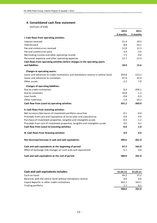# **4. Consolidated cash flow statement**

(millions of EUR)

| I. Cash flows from operating activities<br>Interest received                    | 3 months<br>31.4<br>$-8.8$ | 3 months<br>29.3 |
|---------------------------------------------------------------------------------|----------------------------|------------------|
|                                                                                 |                            |                  |
|                                                                                 |                            |                  |
|                                                                                 |                            |                  |
| Interest paid                                                                   |                            | $-10.1$          |
| Fee and commission received                                                     | 12.0                       | 12.5             |
| Fee and commission paid                                                         | $-3.4$                     | $-3.4$           |
| Net trading income and other operating income                                   | 1.5                        | 0.6              |
| Personnel expenses and other operating expenses                                 | $-12.7$                    | $-13.3$          |
| Cash flows from operating activities before changes in the operating assets     |                            |                  |
| and liabilities                                                                 | 20.0                       | 15.6             |
| Changes in operating assets:                                                    |                            |                  |
| Loans and advances to credit institutions and mandatory reserve in central bank | 203.8                      | $-123.2$         |
| Loans and advances to customers                                                 | 47.4                       | 42.4             |
| Other assets                                                                    | $-2.2$                     | 7.0              |
| <b>Changes of operating liabilities:</b>                                        |                            |                  |
| Due to credit institutions                                                      | $-0.4$                     | $-290.1$         |
| Due to customers                                                                | 34.8                       | $-1.2$           |
| Loan funds                                                                      | $-0.8$                     | $-0.3$           |
| Other liabilities                                                               | $-1.4$                     | $-10.2$          |
| Cash flow from (used in) operating activities                                   | 301.2                      | $-360.0$         |
| II. Cash flows from investing activities                                        |                            |                  |
| Net increase-/decrease+ of investment portfolio securities                      | $-0.1$                     | $-0.4$           |
| Proceeds from sale and liquidation of associates and subsidiaries               | 0.0                        | 0.4              |
| Purchase of investment properties, tangible and intangible assets               | $-0.5$                     | $-1.2$           |
| Proceeds from sale of investment properties, tangible and intangible assets     | 0.0                        | 0.2              |
| Cash flow from (used in) investing activities                                   | $-0.6$                     | $-1.0$           |
| III. Cash flows from financing activities                                       | 0.0                        | 0.0              |
| Net decrease/increase in cash and cash equivalents                              | 300.6                      | $-361.0$         |
| Cash and cash equivalents at the beginning of period                            | 87.3                       | 562.0            |
| Effect of exchange rate changes on cash and cash equivalents                    | 0.1                        | 0.0              |
| Cash and cash equivalents at the end of period                                  | 388.0                      | 201.0            |

| Cash and cash equivalents includes:                      | 31.03.12 | 31.03.11 |
|----------------------------------------------------------|----------|----------|
| Cash on hand                                             | 44.2     | 37.2     |
| Balances with the central bank without mandatory reserve | 0.0      | 0.6      |
| Liquid deposits in other credit institutions             | 342.1    | 163.1    |
| Trading portfolio                                        | 1.7      | 0.1      |
|                                                          | 388.0    | 201.0    |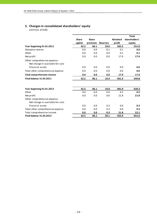# **5. Changes in consolidated shareholders' equity**

(millions of EUR)

|                                                                  |              |              |                 |                 | <b>Total</b>  |
|------------------------------------------------------------------|--------------|--------------|-----------------|-----------------|---------------|
|                                                                  | <b>Share</b> | <b>Share</b> |                 | <b>Retained</b> | shareholders' |
|                                                                  | capital      | premium      | <b>Reserves</b> | profit          | equity        |
| Year beginning 01.01.2011                                        | 42.5         | 86.1         | 20.0            | 383.2           | 531.8         |
| Statutory reserve                                                | 0.0          | 0.0          | $-0.1$          | 0.1             | 0.0           |
| Other                                                            | 0.0          | 0.0          | 0.0             | 0.1             | 0.1           |
| Net profit                                                       | 0.0          | 0.0          | 0.0             | 17.9            | 17.9          |
| Other comprehensive expense:<br>Net change in available-for-sale |              |              |                 |                 |               |
| financial assets                                                 | 0.0          | 0.0          | 0.0             | 0.0             | 0.0           |
| Total other comprehensive expense                                | 0.0          | 0.0          | 0.0             | 0.0             | 0.0           |
| <b>Total comprehensive income</b>                                | 0.0          | 0.0          | 0.0             | 17.9            | 17.9          |
| <b>Final balance 31.03.2011</b>                                  | 42.5         | 86.1         | 19.9            | 401.3           | 549.8         |
|                                                                  |              |              |                 |                 |               |
| Year beginning 01.01.2012                                        | 42.5         | 86.1         | 19.8            | 481.9           | 630.3         |
| Other                                                            | 0.0          | 0.0          | 0.0             | 0.2             | 0.2           |
| Net profit                                                       | 0.0          | 0.0          | 0.0             | 21.8            | 21.8          |
| Other comprehensive expense:<br>Net change in available-for-sale |              |              |                 |                 |               |
| financial assets                                                 | 0.0          | 0.0          | 0.3             | 0.0             | 0.3           |
| Total other comprehensive expense                                | 0.0          | 0.0          | 0.3             | 0.0             | 0.3           |
| Total comprehensive income                                       | 0.0          | 0.0          | 0.3             | 21.8            | 22.1          |
| <b>Final balance 31.03.2012</b>                                  | 42.5         | 86.1         | 20.1            | 503.9           | 652.6         |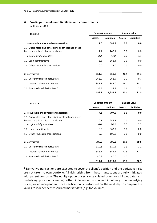# **6. Contingent assets and liabilities and commitments**

(millions of EUR)

| 31.03.12                                                                                   | <b>Contract amount</b> |                    | <b>Balance value</b> |                    |  |
|--------------------------------------------------------------------------------------------|------------------------|--------------------|----------------------|--------------------|--|
|                                                                                            | <b>Assets</b>          | <b>Liabilities</b> | <b>Assets</b>        | <b>Liabilities</b> |  |
| 1. Irrevocable and revocable transactions                                                  | 7.6                    | 681.5              | 0.0                  | 0.0                |  |
| 1.1. Guarantees and other similar off-balance sheet<br>irrovocable liabilitieas and claims | 1.1                    | 245.1              | 0.0                  | 0.0                |  |
| incl. financial quarantees                                                                 | 0.0                    | 84.0               | 0.0                  | 0.0                |  |
| 1.2. Loan commitments                                                                      | 6.5                    | 361.4              | 0.0                  | 0.0                |  |
| 1.3. Other revocable transactions                                                          | 0.0                    | 75.0               | 0.0                  | 0.0                |  |
| 2. Derivatives                                                                             | 651.6                  | 650.8              | 20.4                 | 21.3               |  |
| 2.1. Currency related derivatives                                                          | 268.9                  | 268.9              | 0.7                  | 0.7                |  |
| 2.2. Interest related derivatives                                                          | 347.2                  | 347.0              | 18.1                 | 18.1               |  |
| 2.3. Equity related derivatives*                                                           | 35.5                   | 34.9               | 1.6                  | 2.5                |  |
|                                                                                            | 659.2                  | 1,332.3            | 20.4                 | 21.3               |  |

| 31.12.11                                                                                                                 | <b>Contract amount</b> |                    | <b>Balance value</b> |                    |  |
|--------------------------------------------------------------------------------------------------------------------------|------------------------|--------------------|----------------------|--------------------|--|
|                                                                                                                          | <b>Assets</b>          | <b>Liabilities</b> | <b>Assets</b>        | <b>Liabilities</b> |  |
| 1. Irrevocable and revocable transactions                                                                                | 7.2                    | 707.6              | 0.0                  | 0.0                |  |
| 1.1. Guarantees and other similar off-balance sheet<br>irrovocable liabilitieas and claims<br>incl. financial quarantees | 0.7<br>0.0             | 244.7<br>76.5      | 0.0<br>0.0           | 0.0<br>0.0         |  |
| 1.2. Loan commitments                                                                                                    | 6.5                    | 362.9              | 0.0                  | 0.0                |  |
| 1.3. Other revocable transactions                                                                                        | 0.0                    | 100.0              | 0.0                  | 0.0                |  |
| 2. Derivatives                                                                                                           | 506.9                  | 505.9              | 19.8                 | 20.5               |  |
| 2.1. Currency related derivatives                                                                                        | 119.8                  | 119.5              | 1.3                  | 1.1                |  |
| 2.2. Interest related derivatives                                                                                        | 346.5                  | 346.4              | 17.3                 | 17.2               |  |
| 2.3. Equity related derivatives*                                                                                         | 40.6                   | 40.0               | 1.2                  | 2.2                |  |
|                                                                                                                          | 514.1                  | 1,213.5            | 19.8                 | 20.5               |  |

\* Derivative transactions are executed to cover the client's position and the derivative risks are not taken to own portfolio. All risks arising from these transactions are fully mitigated with parent company. The equity option prices are calculated using for all input data (e.g. underlying prices or volumes) either independently sourced input (e.g. the underlying prices) or an independent price verification is performed on the next day to compare the values to independently sourced market data (e.g. for volumes).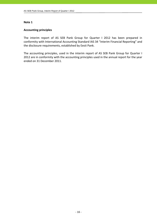# **Accounting principles**

The interim report of AS SEB Pank Group for Quarter I 2012 has been prepared in conformity with International Accounting Standard IAS 34 "Interim Financial Reporting" and the disclosure requirements, established by Eesti Pank.

The accounting principles, used in the interim report of AS SEB Pank Group for Quarter I 2012 are in conformity with the accounting principles used in the annual report for the year ended on 31 December 2011.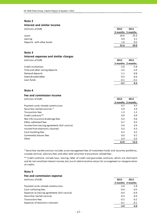### **Interest and similar income**

| (millions of EUR)         | 2012 | 2011              |
|---------------------------|------|-------------------|
|                           |      | 3 months 3 months |
| Loans                     | 26.6 | 25.3              |
| Leasing                   | 4.0  | 4.1               |
| Deposits with other banks | 1.0  | 0.5               |
|                           | 31.6 | 29.9              |

#### **Note 3**

#### **Interest expenses and similar charges**

| (millions of EUR)              | 2012   | 2011              |
|--------------------------------|--------|-------------------|
|                                |        | 3 months 3 months |
| Credit institutions            | $-5.0$ | $-5.8$            |
| Time and other saving deposits | $-3.2$ | $-2.0$            |
| Demand deposits                | $-1.1$ | $-0.8$            |
| Subordinated debts             | $-0.3$ | $-0.6$            |
| Loan funds                     | $-0.1$ | $-0.1$            |
|                                | $-9.7$ | $-9.3$            |

#### **Note 4**

#### **Fee and commission income**

| (millions of EUR)                             | 2012 | 2011              |
|-----------------------------------------------|------|-------------------|
|                                               |      | 3 months 3 months |
| Payment cards related commissions             | 4.7  | 4.7               |
| Securities market services *                  | 2.9  | 3.4               |
| Transaction fees                              | 1.3  | 1.2               |
| Credit contracts **                           | 0.9  | 0.9               |
| Non-life insurance brokerage fees             | 0.3  | 0.6               |
| Other settlement fees                         | 0.7  | 0.5               |
| Income from leasing agreements (full service) | 0.4  | 0.4               |
| Income from electronic channels               | 0.3  | 0.3               |
| Cash handling fees                            | 0.2  | 0.2               |
| Commodity futures fees                        | 0.0  | 0.1               |
| Other                                         | 0.3  | 0.2               |
|                                               | 12.0 | 12.5              |

\* Securities market services includes asset management fees of investment funds and securties portfolios, custody services, advisory fees and other with securities transactions related fees.

\*\* Credit contracts include loan, leasing, letter of credit and guarantee contracts, which are short‐term and do not constitute interest income, but are of administrative nature for arrangement or reorganisation of credits.

#### **Note 5**

| Fee and commission expense                    |        |                   |
|-----------------------------------------------|--------|-------------------|
| (millions of EUR)                             | 2012   | 2011              |
|                                               |        | 3 months 3 months |
| Payment cards related commissions             | $-2.0$ | $-1.8$            |
| Cash collecting fees                          | $-0.4$ | $-0.5$            |
| Expenses to leasing agreements (full service) | $-0.4$ | $-0.4$            |
| Securities market services                    | $-0.3$ | $-0.4$            |
| Transaction fees                              | $-0.2$ | $-0.2$            |
| Expenses of electronic channels               | $-0.1$ | $-0.1$            |
|                                               | $-3.4$ | $-3.4$            |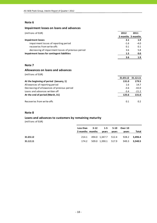# **Impairment losses on loans and advances**

| (millions of EUR)                                  | 2012   | 2011              |
|----------------------------------------------------|--------|-------------------|
|                                                    |        | 3 months 3 months |
| <b>Impairment losses</b>                           | 2.1    | 1.9               |
| impairment losses of reporting period              | $-1.6$ | $-4.0$            |
| recoveries from write-offs                         | 0.1    | 0.1               |
| decreasing of impairment losses of previous period | 3.6    | 5.8               |
| Impairment losses for contingent liabilities       | 1.5    | 0.0               |
|                                                    | 3.6    |                   |

# **Note 7**

# **Allowances on loans and advances**

(millions of EUR)

| 31.03.12 | 31.12.11 |
|----------|----------|
| 131.0    | 179.5    |
| 1.6      | 14.7     |
| $-3.6$   | $-42.0$  |
| $-3.4$   | $-21.2$  |
| 125.6    | 131.0    |
|          |          |
| 0.1      | 0.2      |
|          |          |

### **Note 8**

# **Loans and advances to customers by remaining maturity**

(millions of EUR)

|          | Less than 3-12 1-5 5-10 Over 10 |       |       |                                         |       |
|----------|---------------------------------|-------|-------|-----------------------------------------|-------|
|          | 3 months months                 | vears | vears | vears                                   | Total |
| 31.03.12 | 214.1                           |       |       | 494.0 1.347.7 512.4 928.2 3.496.4       |       |
|          |                                 |       |       |                                         |       |
| 31.12.11 |                                 |       |       | 174.2 509.0 1,390.1 517.9 949.3 3,540.5 |       |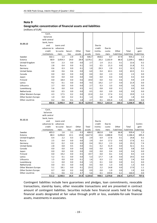#### **Geographic concentration of financial assets and liabilities**

(millions of EUR)

| 31.03.12             | Cash,<br>balances<br>with central<br>bank, loans<br>and<br>advances to<br>credit | Loans and<br>advances<br>to custo- | Securi- | Other  | Total   | Due to<br>credit<br>institu- | Due to<br>custo- | Other       | Total       | Contin-<br>gent |
|----------------------|----------------------------------------------------------------------------------|------------------------------------|---------|--------|---------|------------------------------|------------------|-------------|-------------|-----------------|
|                      | institutions                                                                     | mers                               | ti es   | assets | assets  | tions                        | mers             | liabilities | liabilities | liabilities     |
| Sweden               | 502.1                                                                            | 1.4                                | 2.9     | 0.3    | 506.7   | 858.6                        | 8.7              | 67.9        | 935.2       | 1.5             |
| Estonia              | 68.9                                                                             | 3,454.3                            | 24.0    | 28.9   | 3,576.1 | 20.2                         | 2,102.9          | 86.0        | 2,209.1     | 668.2           |
| United Kingdom       | 0.4                                                                              | 2.3                                | 0.0     | 0.0    | 2.7     | 1.4                          | 21.1             | 0.1         | 22.6        | 0.2             |
| Russia               | 2.8                                                                              | 0.4                                | 0.0     | 0.1    | 3.3     | 0.5                          | 21.3             | 0.0         | 21.8        | 0.1             |
| Germany              | 0.6                                                                              | 0.3                                | 0.0     | 0.1    | 1.0     | 29.3                         | 2.9              | 0.1         | 32.3        | 7.2             |
| <b>United States</b> | 4.8                                                                              | 0.6                                | 0.6     | 0.0    | 6.0     | 0.4                          | 63.1             | 0.0         | 63.5        | 0.1             |
| Canada               | 0.0                                                                              | 0.0                                | 0.0     | 0.0    | 0.0     | 0.0                          | 2.3              | 0.0         | 2.3         | 0.0             |
| Japan                | 0.0                                                                              | 0.0                                | 0.0     | 0.0    | 0.0     | 0.0                          | 0.3              | 0.0         | 0.3         | 0.0             |
| Finland              | 0.0                                                                              | 18.4                               | 0.0     | 0.6    | 19.0    | 0.0                          | 9.3              | 0.6         | 9.9         | 2.9             |
| Latvia               | 9.2                                                                              | 0.1                                | 0.0     | 0.0    | 9.3     | 19.2                         | 2.7              | 0.0         | 21.9        | 0.0             |
| Lithuania            | 2.7                                                                              | 0.0                                | 0.0     | 0.0    | 2.7     | 0.3                          | 3.3              | 0.0         | 3.6         | 0.0             |
| Luxembourg           | 5.6                                                                              | 0.0                                | 0.0     | 0.5    | 6.1     | 0.8                          | 0.0              | 0.1         | 0.9         | 0.0             |
| Netherlands          | 0.0                                                                              | 0.5                                | 0.0     | 0.0    | 0.5     | 0.0                          | 0.9              | 0.0         | 0.9         | 0.0             |
| Other Western Europe | 4.3                                                                              | 17.5                               | 0.2     | 0.0    | 22.0    | 2.4                          | 17.4             | 0.1         | 19.9        | 1.3             |
| Other Eastern Europe | 1.0                                                                              | 0.0                                | 0.2     | 0.1    | 1.3     | 0.0                          | 1.8              | 0.0         | 1.8         | 0.0             |
| Other countries      | 0.2                                                                              | 0.6                                | 0.1     | 1.8    | 2.7     | 0.1                          | 155.4            | 5.4         | 160.9       | 0.0             |
|                      | 602.6                                                                            | 3,496.4                            | 28.0    | 32.4   | 4,159.4 | 933.2                        | 2,413.4          | 160.3       | 3,506.9     | 681.5           |
|                      |                                                                                  |                                    |         |        |         |                              |                  |             |             |                 |

|                      | Cash,        |           |         |        |         |          |         |             |             |             |
|----------------------|--------------|-----------|---------|--------|---------|----------|---------|-------------|-------------|-------------|
| 31.12.11             | balances     |           |         |        |         |          |         |             |             |             |
|                      | with central |           |         |        |         |          |         |             |             |             |
|                      | bank, loans  |           |         |        |         |          |         |             |             |             |
|                      | and          | Loans and |         |        |         | Due to   |         |             |             |             |
|                      | advances to  | advances  |         |        |         | credit   | Due to  |             |             | Contin-     |
|                      | credit       | to custo- | Securi- | Other  | Total   | institu- | custo-  | Other       | Total       | gent        |
|                      | institutions | mers      | ties    | assets | assets  | tions    | mers    | liabilities | liabilities | liabilities |
| Sweden               | 403.3        | 1.6       | 3.1     | 0.3    | 408.3   | 862.8    | 9.8     | 66.8        | 939.4       | 1.3         |
| Estonia              | 88.3         | 3,496.8   | 22.1    | 19.8   | 3,627.0 | 24.6     | 2,088.8 | 73.0        | 2,186.4     | 695.4       |
| United Kingdom       | 0.4          | 2.2       | 0.3     | 0.0    | 2.9     | 6.9      | 17.8    | 0.1         | 24.8        | 0.2         |
| Russia               | 2.5          | 0.4       | 0.0     | 0.0    | 2.9     | 0.4      | 17.2    | 0.0         | 17.6        | 0.1         |
| Germany              | 0.2          | 0.2       | 0.0     | 0.0    | 0.4     | 33.2     | 2.3     | 0.0         | 35.5        | 7.4         |
| <b>United States</b> | 2.8          | 0.8       | 0.5     | 0.0    | 4.1     | 0.2      | 51.9    | 0.0         | 52.1        | 0.1         |
| Canada               | 0.0          | 0.0       | 0.0     | 0.0    | 0.0     | 0.0      | 0.8     | 0.0         | 0.8         | 0.0         |
| Japan                | 0.0          | 0.0       | 0.0     | 0.0    | 0.0     | 0.0      | 0.4     | 0.0         | 0.4         | 0.0         |
| Finland              | 0.0          | 19.2      | 0.0     | 0.5    | 19.7    | 0.0      | 8.1     | 0.4         | 8.5         | 2.0         |
| Latvia               | 5.2          | 0.1       | 0.0     | 0.0    | 5.3     | 17.7     | 1.8     | 0.0         | 19.5        | 0.0         |
| Lithuania            | 1.5          | 0.0       | 0.0     | 0.1    | 1.6     | 0.3      | 2.1     | 0.0         | 2.4         | 0.0         |
| Luxembourg           | 1.1          | 0.0       | 0.0     | 0.4    | 1.5     | 0.1      | 0.0     | 0.0         | 0.1         | 0.0         |
| Netherlands          | 0.0          | 0.5       | 0.0     | 0.0    | 0.5     | 0.0      | 1.3     | 0.0         | 1.3         | 0.0         |
| Other Western Europe | 5.1          | 18.1      | 0.0     | 0.1    | 23.3    | 2.2      | 14.8    | 0.0         | 17.0        | 1.1         |
| Other Eastern Europe | 0.7          | 0.0       | 0.2     | 0.0    | 0.9     | 0.0      | 1.9     | 0.0         | 1.9         | 0.0         |
| Other countries      | 0.1          | 0.6       | 0.2     | 4.7    | 5.6     | 0.1      | 159.8   | 6.1         | 166.0       | 0.0         |
|                      | 511.2        | 3,540.5   | 26.4    | 25.9   | 4,104.0 | 948.5    | 2,378.8 | 146.4       | 3,473.7     | 707.6       |

Contingent liabilities include here guarantees and pledges, loan commitments, revocable transactions, stand‐by loans, other revocable transactions and are presented in contract amount of contingent liabilities. Securities include here financial assets held for trading, financial assets designated at fair value through profit or loss, available‐for‐sale financial assets, investments in associates.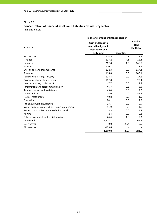# **Concentration of financial assets and liabilities by industry sector** (millions of EUR)

|                                              | In the statement of financial position                                     |                   |                                |
|----------------------------------------------|----------------------------------------------------------------------------|-------------------|--------------------------------|
| 31.03.12                                     | Cash and loans to<br>central bank, credit<br>institutions and<br>customers | <b>Securities</b> | Contin-<br>gent<br>liabilities |
| Real estate                                  | 624.5                                                                      | 0.1               | 18.7                           |
| Finance                                      | 607.2                                                                      | 4.1               | 15.3                           |
| Industry                                     | 262.8                                                                      | 1.6               | 146.7                          |
| Trading                                      | 170.7                                                                      | 0.0               | 77.9                           |
| Energy, gas and steam plants                 | 122.3                                                                      | 0.0               | 117.4                          |
| Transport                                    | 116.8                                                                      | 0.0               | 100.1                          |
| Agriculture, fishing, forestry               | 104.8                                                                      | 0.0               | 17.1                           |
| Government and state defence                 | 102.0                                                                      | 0.0               | 20.4                           |
| Health services, social work                 | 47.7                                                                       | 0.0               | 7.8                            |
| Information and telecommunication            | 46.7                                                                       | 0.8               | 5.5                            |
| Administration and assistance                | 45.4                                                                       | 0.0               | 7.9                            |
| Construction                                 | 44.0                                                                       | 0.0               | 59.5                           |
| Hotels, restaurants                          | 40.8                                                                       | 0.0               | 1.0                            |
| Education                                    | 24.1                                                                       | 0.0               | 4.5                            |
| Art, show business, leisure                  | 13.5                                                                       | 0.0               | 0.9                            |
| Water supply, canalisation, waste management | 11.9                                                                       | 0.0               | 4.6                            |
| Professional, science and technical work     | 8.8                                                                        | 0.0               | 4.4                            |
| Mining                                       | 2.4                                                                        | 0.0               | 0.2                            |
| Other government and social services         | 24.4                                                                       | 1.0               | 5.3                            |
| Individuals                                  | 1,803.8                                                                    | 0.0               | 66.3                           |
| Derivatives                                  | 0.0                                                                        | 20.4              | 0.0                            |
| Allowances                                   | $-125.6$                                                                   |                   |                                |
|                                              | 4,099.0                                                                    | 28.0              | 681.5                          |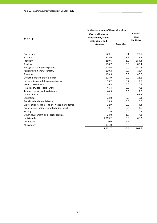|                                              | In the statement of financial position                        |                   |                                       |  |  |
|----------------------------------------------|---------------------------------------------------------------|-------------------|---------------------------------------|--|--|
| 31.12.11                                     | Cash and loans to<br>central bank, credit<br>institutions and |                   | Contin-<br>gent<br><b>liabilities</b> |  |  |
|                                              | customers                                                     | <b>Securities</b> |                                       |  |  |
|                                              |                                                               |                   |                                       |  |  |
| Real estate                                  | 629.1                                                         | 0.1               | 20.5                                  |  |  |
| Finance                                      | 515.6                                                         | 3.9               | 15.4                                  |  |  |
| Industry                                     | 259.6                                                         | 1.0               | 154.4                                 |  |  |
| Trading                                      | 198.7                                                         | 0.0               | 88.4                                  |  |  |
| Energy, gas and steam plants                 | 116.6                                                         | 0.0               | 140.4                                 |  |  |
| Agriculture, fishing, forestry               | 109.3                                                         | 0.0               | 12.7                                  |  |  |
| Transport                                    | 108.5                                                         | 0.0               | 80.0                                  |  |  |
| Government and state defence                 | 106.9                                                         | 0.0               | 21.1                                  |  |  |
| Information and telecommunication            | 53.2                                                          | 0.7               | 7.7                                   |  |  |
| Hotels, restaurants                          | 46.8                                                          | 0.0               | 0.7                                   |  |  |
| Health services, social work                 | 46.4                                                          | 0.0               | 7.1                                   |  |  |
| Administration and assistance                | 44.5                                                          | 0.0               | 7.6                                   |  |  |
| Construction                                 | 43.2                                                          | 0.0               | 63.2                                  |  |  |
| Education                                    | 23.0                                                          | 0.0               | 6.3                                   |  |  |
| Art, show business, leisure                  | 15.5                                                          | 0.0               | 0.6                                   |  |  |
| Water supply, canalisation, waste management | 12.9                                                          | 0.0               | 4.4                                   |  |  |
| Professional, science and technical work     | 9.1                                                           | 0.0               | 3.6                                   |  |  |
| Mining                                       | 2.6                                                           | 0.0               | 0.2                                   |  |  |
| Other government and social services         | 22.0                                                          | 1.0               | 7.1                                   |  |  |
| Individuals                                  | 1,819.2                                                       | 0.0               | 66.2                                  |  |  |
| Derivatives                                  | 0.0                                                           | 19.7              | 0.0                                   |  |  |
| Allowances                                   | $-131.0$                                                      |                   |                                       |  |  |
|                                              | 4,051.7                                                       | 26.4              | 707.6                                 |  |  |